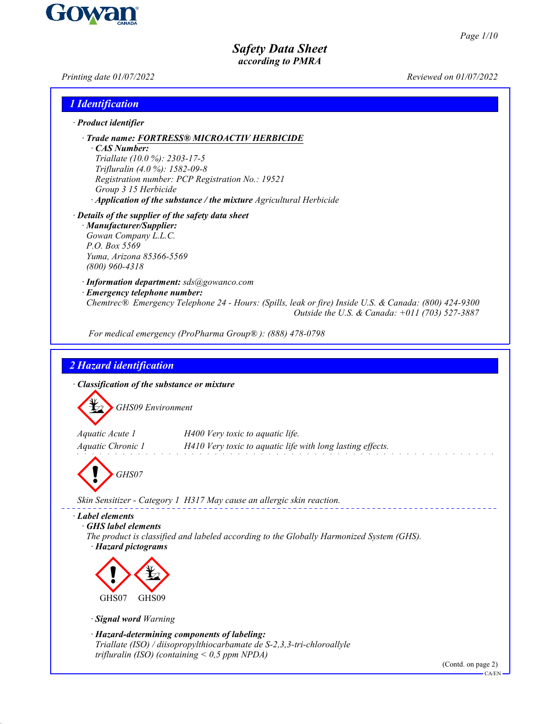*Printing date 01/07/2022 Reviewed on 01/07/2022*

| <i><b>1</b></i> Identification                                                                                                                                                                                                                                                      |
|-------------------------------------------------------------------------------------------------------------------------------------------------------------------------------------------------------------------------------------------------------------------------------------|
| $\cdot$ Product identifier                                                                                                                                                                                                                                                          |
| · Trade name: FORTRESS® MICROACTIV HERBICIDE<br>· CAS Number:<br>Triallate (10.0 %): 2303-17-5<br>Trifluralin (4.0 %): 1582-09-8<br>Registration number: PCP Registration No.: 19521<br>Group 3 15 Herbicide<br>· Application of the substance / the mixture Agricultural Herbicide |
| $\cdot$ Details of the supplier of the safety data sheet<br>· Manufacturer/Supplier:<br>Gowan Company L.L.C.<br>P.O. Box 5569<br>Yuma, Arizona 85366-5569<br>$(800)$ 960-4318                                                                                                       |
| · Information department: sds@gowanco.com<br>· Emergency telephone number:                                                                                                                                                                                                          |
| Chemtrec® Emergency Telephone 24 - Hours: (Spills, leak or fire) Inside U.S. & Canada: (800) 424-9300<br>Outside the U.S. & Canada: $+011$ (703) 527-3887                                                                                                                           |
| For medical emergency (ProPharma Group®): (888) 478-0798                                                                                                                                                                                                                            |
| 2 Hazard identification<br>· Classification of the substance or mixture<br><b>GHS09</b> Environment<br>Aquatic Acute 1<br>H400 Very toxic to aquatic life.<br>Aquatic Chronic 1<br>H410 Very toxic to aquatic life with long lasting effects.<br>GHS07                              |
| Skin Sensitizer - Category 1 H317 May cause an allergic skin reaction.                                                                                                                                                                                                              |
| · Label elements<br><b>GHS</b> label elements<br>The product is classified and labeled according to the Globally Harmonized System (GHS).<br>· Hazard pictograms<br>GHS07<br>GHS09                                                                                                  |
| · Signal word Warning                                                                                                                                                                                                                                                               |
| · Hazard-determining components of labeling:<br>Triallate (ISO) / diisopropylthiocarbamate de S-2,3,3-tri-chloroallyle<br>trifluralin (ISO) (containing $<$ 0,5 ppm NPDA)<br>(Contd. on page 2)<br>CA/EN                                                                            |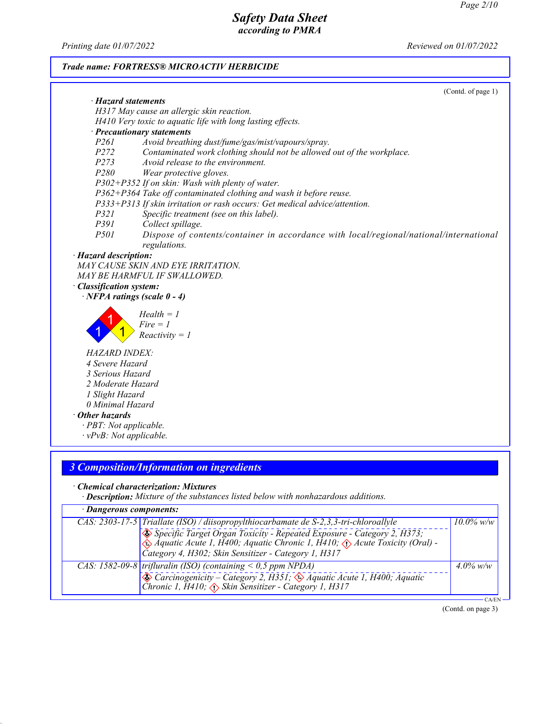*Printing date 01/07/2022 Reviewed on 01/07/2022*

# *Trade name: FORTRESS® MICROACTIV HERBICIDE*

|                                | (Contd. of page 1)                                                                                                                               |
|--------------------------------|--------------------------------------------------------------------------------------------------------------------------------------------------|
| · Hazard statements            |                                                                                                                                                  |
|                                | H317 May cause an allergic skin reaction.                                                                                                        |
|                                | H410 Very toxic to aquatic life with long lasting effects.                                                                                       |
|                                | · Precautionary statements                                                                                                                       |
| P261<br>P <sub>272</sub>       | Avoid breathing dust/fume/gas/mist/vapours/spray.                                                                                                |
|                                | Contaminated work clothing should not be allowed out of the workplace.                                                                           |
| P273<br>P280                   | Avoid release to the environment.                                                                                                                |
|                                | Wear protective gloves.                                                                                                                          |
|                                | $P302+P352$ If on skin: Wash with plenty of water.                                                                                               |
|                                | P362+P364 Take off contaminated clothing and wash it before reuse.<br>P333+P313 If skin irritation or rash occurs: Get medical advice/attention. |
| P321                           | Specific treatment (see on this label).                                                                                                          |
| <i>P391</i>                    | Collect spillage.                                                                                                                                |
| <i>P501</i>                    | Dispose of contents/container in accordance with local/regional/national/international                                                           |
|                                | regulations.                                                                                                                                     |
| · Hazard description:          |                                                                                                                                                  |
|                                | MAY CAUSE SKIN AND EYE IRRITATION.                                                                                                               |
|                                | MAY BE HARMFUL IF SWALLOWED.                                                                                                                     |
| · Classification system:       |                                                                                                                                                  |
|                                | $\cdot$ NFPA ratings (scale 0 - 4)                                                                                                               |
|                                |                                                                                                                                                  |
|                                | $Health = 1$                                                                                                                                     |
|                                | $Fire = 1$                                                                                                                                       |
|                                | $Reactivity = 1$                                                                                                                                 |
| <b>HAZARD INDEX:</b>           |                                                                                                                                                  |
| 4 Severe Hazard                |                                                                                                                                                  |
| 3 Serious Hazard               |                                                                                                                                                  |
| 2 Moderate Hazard              |                                                                                                                                                  |
| 1 Slight Hazard                |                                                                                                                                                  |
| 0 Minimal Hazard               |                                                                                                                                                  |
| $\cdot$ Other hazards          |                                                                                                                                                  |
| · PBT: Not applicable.         |                                                                                                                                                  |
| $\cdot vPvB$ : Not applicable. |                                                                                                                                                  |
|                                |                                                                                                                                                  |
|                                |                                                                                                                                                  |
|                                | <b>3 Composition/Information on ingredients</b>                                                                                                  |

# *· Chemical characterization: Mixtures*

*· Description: Mixture of the substances listed below with nonhazardous additions.*

| · Dangerous components:                                                                                                                                                                                                                                                                                       |              |  |  |  |
|---------------------------------------------------------------------------------------------------------------------------------------------------------------------------------------------------------------------------------------------------------------------------------------------------------------|--------------|--|--|--|
| CAS: 2303-17-5 Triallate (ISO) / diisopropylthiocarbamate de S-2,3,3-tri-chloroallyle<br>Specific Target Organ Toxicity - Repeated Exposure - Category 2, H373;<br>Aquatic Acute 1, H400; Aquatic Chronic 1, H410; $\Diamond$ Acute Toxicity (Oral) -<br>Category 4, H302; Skin Sensitizer - Category 1, H317 | $10.0\%$ w/w |  |  |  |
| CAS: 1582-09-8 trifluralin (ISO) (containing $<$ 0,5 ppm NPDA)<br>Carcinogenicity – Category 2, H351; & Áquatic Acute 1, H400; Aquatic<br>Chronic 1, H410; $\Diamond$ Skin Sensitizer - Category 1, H317                                                                                                      | $4.0\%$ w/w  |  |  |  |
|                                                                                                                                                                                                                                                                                                               | :A/EN –      |  |  |  |

(Contd. on page 3)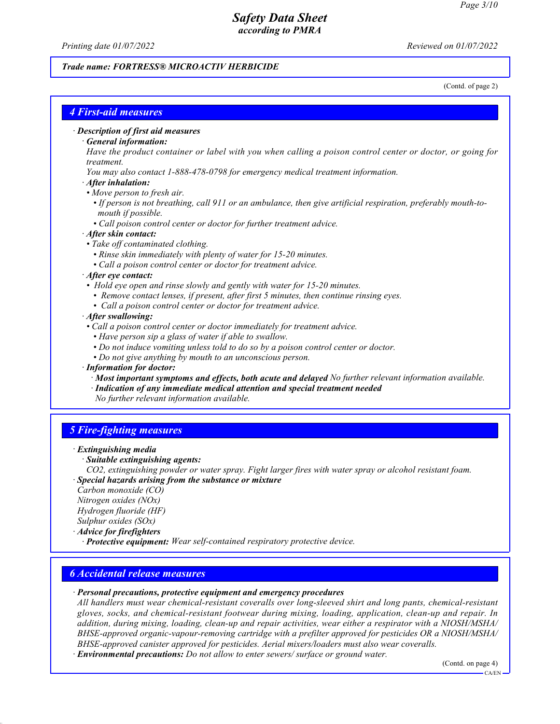*Printing date 01/07/2022 Reviewed on 01/07/2022*

### *Trade name: FORTRESS® MICROACTIV HERBICIDE*

(Contd. of page 2)

# *4 First-aid measures*

#### *· Description of first aid measures*

### *· General information:*

*Have the product container or label with you when calling a poison control center or doctor, or going for treatment.*

- *You may also contact 1-888-478-0798 for emergency medical treatment information.*
- *· After inhalation:*
- *Move person to fresh air.*
- *If person is not breathing, call 911 or an ambulance, then give artificial respiration, preferably mouth-to mouth if possible.*
- *Call poison control center or doctor for further treatment advice.*

#### *· After skin contact:*

- *Take off contaminated clothing.*
	- *Rinse skin immediately with plenty of water for 15-20 minutes.*
	- *Call a poison control center or doctor for treatment advice.*

#### *· After eye contact:*

- *Hold eye open and rinse slowly and gently with water for 15-20 minutes.*
	- *Remove contact lenses, if present, after first 5 minutes, then continue rinsing eyes.*
- *Call a poison control center or doctor for treatment advice.*

### *· After swallowing:*

- *Call a poison control center or doctor immediately for treatment advice.*
	- *Have person sip a glass of water if able to swallow.*
	- *Do not induce vomiting unless told to do so by a poison control center or doctor.*
	- *Do not give anything by mouth to an unconscious person.*

### *· Information for doctor:*

*· Most important symptoms and effects, both acute and delayed No further relevant information available.*

*· Indication of any immediate medical attention and special treatment needed*

*No further relevant information available.*

# *5 Fire-fighting measures*

#### *· Extinguishing media*

*· Suitable extinguishing agents:*

*CO2, extinguishing powder or water spray. Fight larger fires with water spray or alcohol resistant foam. · Special hazards arising from the substance or mixture*

*Carbon monoxide (CO) Nitrogen oxides (NOx) Hydrogen fluoride (HF)*

*Sulphur oxides (SOx)*

*· Advice for firefighters*

*· Protective equipment: Wear self-contained respiratory protective device.*

# *6 Accidental release measures*

### *· Personal precautions, protective equipment and emergency procedures*

*All handlers must wear chemical-resistant coveralls over long-sleeved shirt and long pants, chemical-resistant gloves, socks, and chemical-resistant footwear during mixing, loading, application, clean-up and repair. In addition, during mixing, loading, clean-up and repair activities, wear either a respirator with a NIOSH/MSHA/ BHSE-approved organic-vapour-removing cartridge with a prefilter approved for pesticides OR a NIOSH/MSHA/ BHSE-approved canister approved for pesticides. Aerial mixers/loaders must also wear coveralls.*

*· Environmental precautions: Do not allow to enter sewers/ surface or ground water.*

(Contd. on page 4)

 $CA/FN$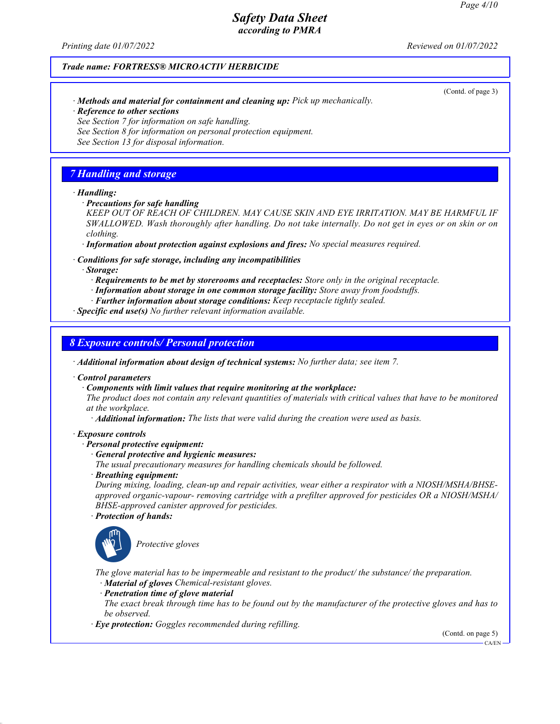(Contd. of page 3)

# *Safety Data Sheet according to PMRA*

*Printing date 01/07/2022 Reviewed on 01/07/2022*

### *Trade name: FORTRESS® MICROACTIV HERBICIDE*

- *· Methods and material for containment and cleaning up: Pick up mechanically.*
- *· Reference to other sections*
- *See Section 7 for information on safe handling.*
- *See Section 8 for information on personal protection equipment.*
- *See Section 13 for disposal information.*

### *7 Handling and storage*

#### *· Handling:*

*· Precautions for safe handling*

*KEEP OUT OF REACH OF CHILDREN. MAY CAUSE SKIN AND EYE IRRITATION. MAY BE HARMFUL IF SWALLOWED. Wash thoroughly after handling. Do not take internally. Do not get in eyes or on skin or on clothing.*

*· Information about protection against explosions and fires: No special measures required.*

*· Conditions for safe storage, including any incompatibilities*

*· Storage:*

- *· Requirements to be met by storerooms and receptacles: Store only in the original receptacle.*
- *· Information about storage in one common storage facility: Store away from foodstuffs.*
- *· Further information about storage conditions: Keep receptacle tightly sealed.*

*· Specific end use(s) No further relevant information available.*

*8 Exposure controls/ Personal protection*

*· Additional information about design of technical systems: No further data; see item 7.*

*· Control parameters*

*· Components with limit values that require monitoring at the workplace:*

*The product does not contain any relevant quantities of materials with critical values that have to be monitored at the workplace.*

*· Additional information: The lists that were valid during the creation were used as basis.*

#### *· Exposure controls*

#### *· Personal protective equipment:*

- *· General protective and hygienic measures:*
- *The usual precautionary measures for handling chemicals should be followed.*
- *· Breathing equipment:*

*During mixing, loading, clean-up and repair activities, wear either a respirator with a NIOSH/MSHA/BHSEapproved organic-vapour- removing cartridge with a prefilter approved for pesticides OR a NIOSH/MSHA/ BHSE-approved canister approved for pesticides.*

*· Protection of hands:*



\_S*Protective gloves*

*The glove material has to be impermeable and resistant to the product/ the substance/ the preparation. · Material of gloves Chemical-resistant gloves.*

*· Penetration time of glove material*

*The exact break through time has to be found out by the manufacturer of the protective gloves and has to be observed.*

*· Eye protection: Goggles recommended during refilling.*

(Contd. on page 5) CA/EN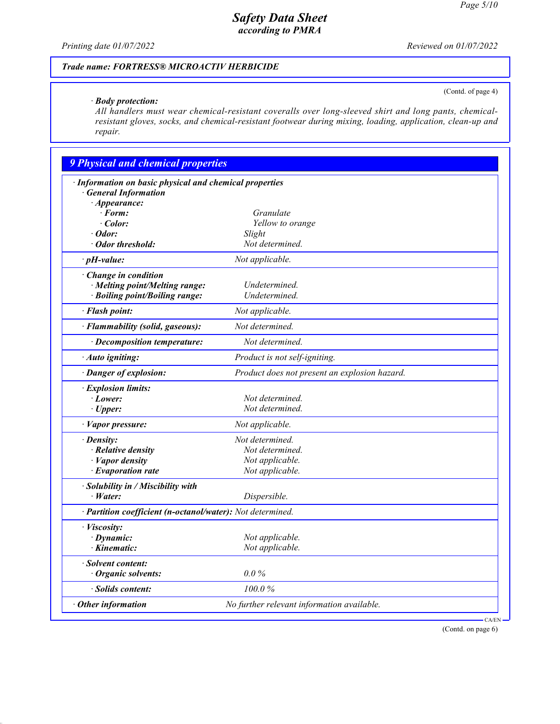(Contd. of page 4)

# *Safety Data Sheet according to PMRA*

*Printing date 01/07/2022 Reviewed on 01/07/2022*

# *Trade name: FORTRESS® MICROACTIV HERBICIDE*

### *· Body protection:*

*All handlers must wear chemical-resistant coveralls over long-sleeved shirt and long pants, chemicalresistant gloves, socks, and chemical-resistant footwear during mixing, loading, application, clean-up and repair.*

| · Information on basic physical and chemical properties<br><b>General Information</b> |                                               |  |
|---------------------------------------------------------------------------------------|-----------------------------------------------|--|
| $\cdot$ Appearance:                                                                   |                                               |  |
| $\cdot$ Form:                                                                         | Granulate                                     |  |
| Color:                                                                                | Yellow to orange                              |  |
| $\cdot$ Odor:                                                                         | Slight                                        |  |
| · Odor threshold:                                                                     | Not determined.                               |  |
| $\cdot$ pH-value:                                                                     | Not applicable.                               |  |
| · Change in condition                                                                 |                                               |  |
| · Melting point/Melting range:                                                        | Undetermined.                                 |  |
| · Boiling point/Boiling range:                                                        | Undetermined.                                 |  |
| · Flash point:                                                                        | Not applicable.                               |  |
| · Flammability (solid, gaseous):                                                      | Not determined.                               |  |
| · Decomposition temperature:                                                          | Not determined.                               |  |
| · Auto igniting:                                                                      | Product is not self-igniting.                 |  |
|                                                                                       |                                               |  |
| · Danger of explosion:                                                                | Product does not present an explosion hazard. |  |
| · Explosion limits:                                                                   |                                               |  |
| $\cdot$ Lower:                                                                        | Not determined.                               |  |
| $\cdot$ Upper:                                                                        | Not determined.                               |  |
| $\cdot$ <i>Vapor pressure:</i>                                                        | Not applicable.                               |  |
| $\cdot$ Density:                                                                      | Not determined.                               |  |
| · Relative density                                                                    | Not determined.                               |  |
| · Vapor density                                                                       | Not applicable.                               |  |
| · Evaporation rate                                                                    | Not applicable.                               |  |
| · Solubility in / Miscibility with                                                    |                                               |  |
| $\cdot$ Water:                                                                        | Dispersible.                                  |  |
| · Partition coefficient (n-octanol/water): Not determined.                            |                                               |  |
| · Viscosity:                                                                          |                                               |  |
| $\cdot$ Dynamic:                                                                      | Not applicable.                               |  |
| · Kinematic:                                                                          | Not applicable.                               |  |
| · Solvent content:                                                                    |                                               |  |
| Organic solvents:                                                                     | $0.0\%$                                       |  |
| · Solids content:                                                                     | 100.0%                                        |  |
| Other information                                                                     | No further relevant information available.    |  |

(Contd. on page 6)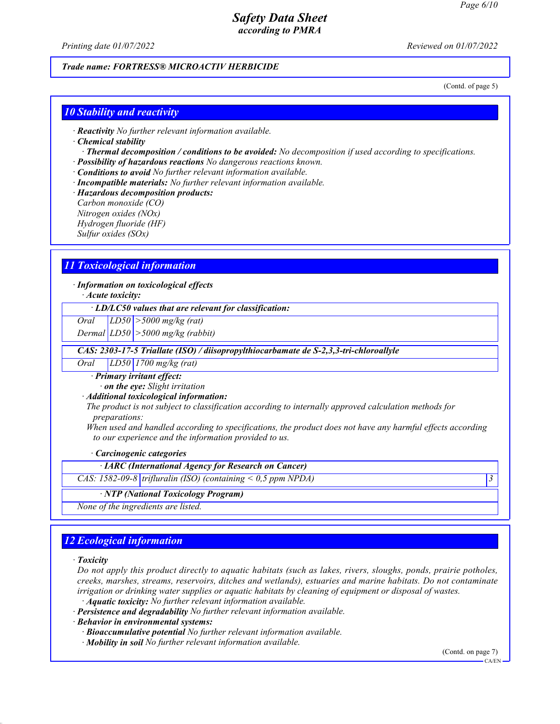*Printing date 01/07/2022 Reviewed on 01/07/2022*

### *Trade name: FORTRESS® MICROACTIV HERBICIDE*

(Contd. of page 5)

### *10 Stability and reactivity*

*· Reactivity No further relevant information available.*

#### *· Chemical stability*

*· Thermal decomposition / conditions to be avoided: No decomposition if used according to specifications. · Possibility of hazardous reactions No dangerous reactions known.*

- *· Conditions to avoid No further relevant information available.*
- *· Incompatible materials: No further relevant information available.*
- *· Hazardous decomposition products:*

*Carbon monoxide (CO) Nitrogen oxides (NOx) Hydrogen fluoride (HF) Sulfur oxides (SOx)*

# *11 Toxicological information*

*· Information on toxicological effects*

*· Acute toxicity:*

*· LD/LC50 values that are relevant for classification:*

*Oral LD50 >5000 mg/kg (rat)*

*Dermal LD50 >5000 mg/kg (rabbit)*

 *CAS: 2303-17-5 Triallate (ISO) / diisopropylthiocarbamate de S-2,3,3-tri-chloroallyle*

*Oral LD50 1700 mg/kg (rat)*

*· Primary irritant effect:*

*· on the eye: Slight irritation*

*· Additional toxicological information:*

*The product is not subject to classification according to internally approved calculation methods for preparations:*

*When used and handled according to specifications, the product does not have any harmful effects according to our experience and the information provided to us.*

*· Carcinogenic categories*

*· IARC (International Agency for Research on Cancer)*

*CAS: 1582-09-8 trifluralin (ISO) (containing < 0,5 ppm NPDA) 3* 

#### *· NTP (National Toxicology Program)*

*None of the ingredients are listed.*

# *12 Ecological information*

*· Toxicity*

*Do not apply this product directly to aquatic habitats (such as lakes, rivers, sloughs, ponds, prairie potholes, creeks, marshes, streams, reservoirs, ditches and wetlands), estuaries and marine habitats. Do not contaminate irrigation or drinking water supplies or aquatic habitats by cleaning of equipment or disposal of wastes.*

*· Aquatic toxicity: No further relevant information available.*

*· Persistence and degradability No further relevant information available.*

*· Behavior in environmental systems:*

- *· Bioaccumulative potential No further relevant information available.*
- *· Mobility in soil No further relevant information available.*

(Contd. on page 7)

CA/EN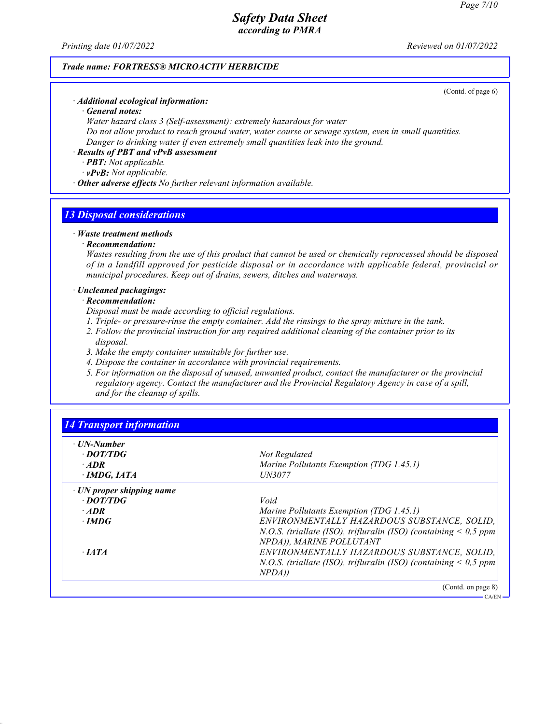*Printing date 01/07/2022 Reviewed on 01/07/2022*

### *Trade name: FORTRESS® MICROACTIV HERBICIDE*

(Contd. of page 6)

CA/EN

# *· Additional ecological information:*

*· General notes:*

*Water hazard class 3 (Self-assessment): extremely hazardous for water*

*Do not allow product to reach ground water, water course or sewage system, even in small quantities. Danger to drinking water if even extremely small quantities leak into the ground.*

#### *· Results of PBT and vPvB assessment*

*· PBT: Not applicable.*

*· vPvB: Not applicable.*

*· Other adverse effects No further relevant information available.*

# *13 Disposal considerations*

#### *· Waste treatment methods*

#### *· Recommendation:*

*Wastes resulting from the use of this product that cannot be used or chemically reprocessed should be disposed of in a landfill approved for pesticide disposal or in accordance with applicable federal, provincial or municipal procedures. Keep out of drains, sewers, ditches and waterways.*

### *· Uncleaned packagings:*

### *· Recommendation:*

*Disposal must be made according to official regulations.*

- *1. Triple- or pressure-rinse the empty container. Add the rinsings to the spray mixture in the tank.*
- *2. Follow the provincial instruction for any required additional cleaning of the container prior to its disposal.*
- *3. Make the empty container unsuitable for further use.*
- *4. Dispose the container in accordance with provincial requirements.*
- *5. For information on the disposal of unused, unwanted product, contact the manufacturer or the provincial regulatory agency. Contact the manufacturer and the Provincial Regulatory Agency in case of a spill, and for the cleanup of spills.*

| $\cdot$ UN-Number               |                                                                       |
|---------------------------------|-----------------------------------------------------------------------|
| · DOT/TDG                       | Not Regulated                                                         |
| $·$ <i>ADR</i>                  | Marine Pollutants Exemption (TDG 1.45.1)                              |
| · IMDG, IATA                    | <i><b>UN3077</b></i>                                                  |
| $\cdot$ UN proper shipping name |                                                                       |
| $\cdot$ DOT/TDG                 | Void                                                                  |
| $\cdot$ ADR                     | Marine Pollutants Exemption (TDG 1.45.1)                              |
| $\cdot$ IMDG                    | ENVIRONMENTALLY HAZARDOUS SUBSTANCE, SOLID,                           |
|                                 | N.O.S. (triallate (ISO), trifluralin (ISO) (containing $\leq 0.5$ ppm |
|                                 | NPDA)), MARINE POLLUTANT                                              |
| $\cdot$ <i>IATA</i>             | ENVIRONMENTALLY HAZARDOUS SUBSTANCE, SOLID,                           |
|                                 | N.O.S. (triallate (ISO), trifluralin (ISO) (containing $\leq 0.5$ ppm |
|                                 | NPDA)                                                                 |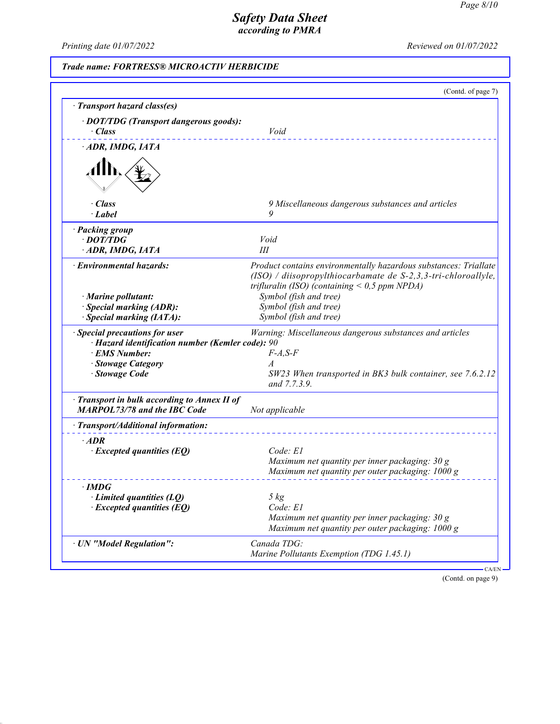*Printing date 01/07/2022 Reviewed on 01/07/2022*

# *Trade name: FORTRESS® MICROACTIV HERBICIDE*

|                                                                                                                                             | (Contd. of page 7)                                                                                                                                                                     |
|---------------------------------------------------------------------------------------------------------------------------------------------|----------------------------------------------------------------------------------------------------------------------------------------------------------------------------------------|
| · Transport hazard class(es)                                                                                                                |                                                                                                                                                                                        |
| · DOT/TDG (Transport dangerous goods):<br>$\cdot$ Class                                                                                     | Void                                                                                                                                                                                   |
| · ADR, IMDG, IATA                                                                                                                           |                                                                                                                                                                                        |
|                                                                                                                                             |                                                                                                                                                                                        |
| $\cdot$ Class                                                                                                                               | 9 Miscellaneous dangerous substances and articles                                                                                                                                      |
| $\cdot$ Label                                                                                                                               | 9                                                                                                                                                                                      |
| · Packing group                                                                                                                             |                                                                                                                                                                                        |
| $\cdot$ DOT/TDG                                                                                                                             | Void                                                                                                                                                                                   |
| ADR, IMDG, IATA                                                                                                                             | Ш                                                                                                                                                                                      |
| · Environmental hazards:                                                                                                                    | Product contains environmentally hazardous substances: Triallate<br>$(ISO)$ / diisopropylthiocarbamate de S-2,3,3-tri-chloroallyle,<br>trifluralin (ISO) (containing $<$ 0,5 ppm NPDA) |
| $\cdot$ Marine pollutant:                                                                                                                   | Symbol (fish and tree)                                                                                                                                                                 |
| · Special marking (ADR):                                                                                                                    | Symbol (fish and tree)                                                                                                                                                                 |
| · Special marking (IATA):                                                                                                                   | Symbol (fish and tree)                                                                                                                                                                 |
| · Special precautions for user<br>· Hazard identification number (Kemler code): 90<br>· EMS Number:<br>· Stowage Category<br>· Stowage Code | Warning: Miscellaneous dangerous substances and articles<br>$F-A, S-F$<br>$\overline{A}$<br>SW23 When transported in BK3 bulk container, see 7.6.2.12<br>and 7.7.3.9.                  |
| Transport in bulk according to Annex II of<br><b>MARPOL73/78 and the IBC Code</b>                                                           | Not applicable                                                                                                                                                                         |
| · Transport/Additional information:                                                                                                         |                                                                                                                                                                                        |
| $·$ <i>ADR</i><br>$\cdot$ Excepted quantities (EQ)                                                                                          | Code: El<br>Maximum net quantity per inner packaging: 30 g<br>Maximum net quantity per outer packaging: 1000 g                                                                         |
| $\cdot$ IMDG                                                                                                                                |                                                                                                                                                                                        |
| Limited quantities (LQ)                                                                                                                     | 5 kg                                                                                                                                                                                   |
|                                                                                                                                             | Code: E1                                                                                                                                                                               |
| $\cdot$ Excepted quantities (EQ)                                                                                                            |                                                                                                                                                                                        |
|                                                                                                                                             | Maximum net quantity per inner packaging: $30 g$<br>Maximum net quantity per outer packaging: 1000 g                                                                                   |
| · UN "Model Regulation":                                                                                                                    | Canada TDG:                                                                                                                                                                            |

(Contd. on page 9)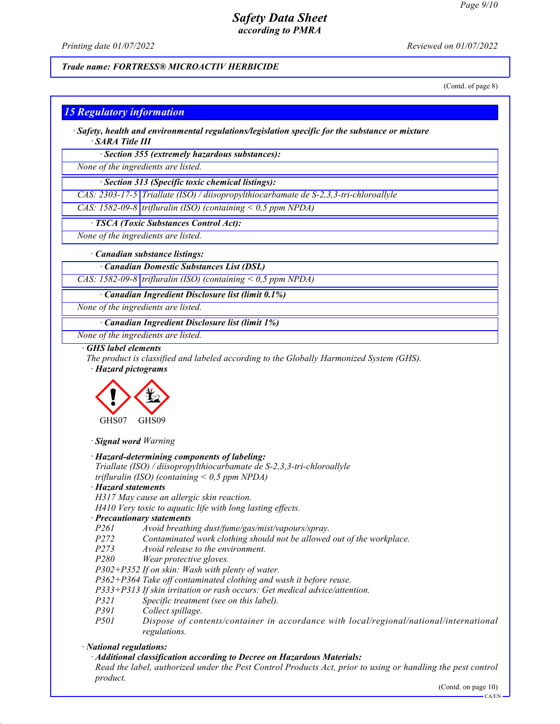*Printing date 01/07/2022 Reviewed on 01/07/2022*

# *Trade name: FORTRESS® MICROACTIV HERBICIDE*

(Contd. of page 8)

# *15 Regulatory information*

*· Safety, health and environmental regulations/legislation specific for the substance or mixture · SARA Title III*

*· Section 355 (extremely hazardous substances):*

*None of the ingredients are listed.*

*· Section 313 (Specific toxic chemical listings):*

*CAS: 2303-17-5 Triallate (ISO) / diisopropylthiocarbamate de S-2,3,3-tri-chloroallyle*

*CAS: 1582-09-8 trifluralin (ISO) (containing < 0,5 ppm NPDA)*

*· TSCA (Toxic Substances Control Act):*

*None of the ingredients are listed.*

#### *· Canadian substance listings:*

*· Canadian Domestic Substances List (DSL)*

*CAS: 1582-09-8 trifluralin (ISO) (containing < 0,5 ppm NPDA)*

*· Canadian Ingredient Disclosure list (limit 0.1%)*

*None of the ingredients are listed.*

*· Canadian Ingredient Disclosure list (limit 1%)*

*None of the ingredients are listed.*

#### *· GHS label elements*

*The product is classified and labeled according to the Globally Harmonized System (GHS).*

*· Hazard pictograms*



*· Signal word Warning*

*· Hazard-determining components of labeling:*

*Triallate (ISO) / diisopropylthiocarbamate de S-2,3,3-tri-chloroallyle trifluralin (ISO) (containing < 0,5 ppm NPDA)*

*· Hazard statements*

*H317 May cause an allergic skin reaction.*

- *H410 Very toxic to aquatic life with long lasting effects.*
- *· Precautionary statements*

*P261 Avoid breathing dust/fume/gas/mist/vapours/spray.*

- *P272 Contaminated work clothing should not be allowed out of the workplace.*
- *Avoid release to the environment.*
- *P280 Wear protective gloves.*
- *P302+P352 If on skin: Wash with plenty of water.*
- *P362+P364 Take off contaminated clothing and wash it before reuse.*
- *P333+P313 If skin irritation or rash occurs: Get medical advice/attention.*
- *P321 Specific treatment (see on this label).*
- *P391 Collect spillage.*
- *P501 Dispose of contents/container in accordance with local/regional/national/international regulations.*

*· National regulations:*

*· Additional classification according to Decree on Hazardous Materials:*

*Read the label, authorized under the Pest Control Products Act, prior to using or handling the pest control product.*